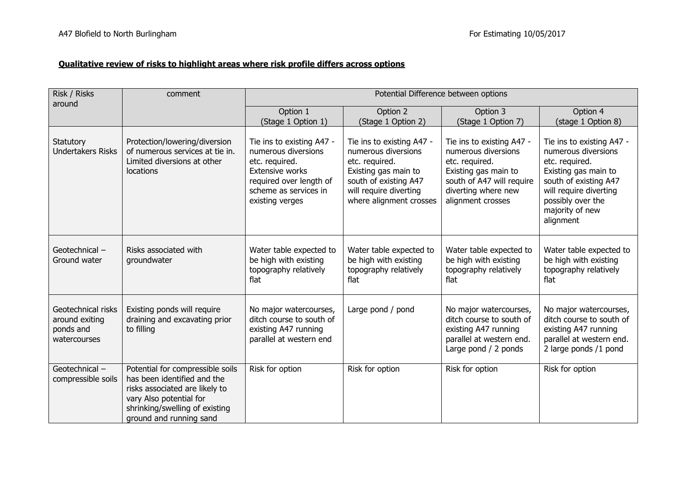## **Qualitative review of risks to highlight areas where risk profile differs across options**

| Risk / Risks<br>around                                            | comment                                                                                                                                                                                   | Potential Difference between options                                                                                                                                |                                                                                                                                                                          |                                                                                                                                                                     |                                                                                                                                                                                                    |
|-------------------------------------------------------------------|-------------------------------------------------------------------------------------------------------------------------------------------------------------------------------------------|---------------------------------------------------------------------------------------------------------------------------------------------------------------------|--------------------------------------------------------------------------------------------------------------------------------------------------------------------------|---------------------------------------------------------------------------------------------------------------------------------------------------------------------|----------------------------------------------------------------------------------------------------------------------------------------------------------------------------------------------------|
|                                                                   |                                                                                                                                                                                           | Option 1<br>(Stage 1 Option 1)                                                                                                                                      | Option 2<br>(Stage 1 Option 2)                                                                                                                                           | Option 3<br>(Stage 1 Option 7)                                                                                                                                      | Option 4<br>(stage 1 Option 8)                                                                                                                                                                     |
| Statutory<br><b>Undertakers Risks</b>                             | Protection/lowering/diversion<br>of numerous services at tie in.<br>Limited diversions at other<br>locations                                                                              | Tie ins to existing A47 -<br>numerous diversions<br>etc. required.<br><b>Extensive works</b><br>required over length of<br>scheme as services in<br>existing verges | Tie ins to existing A47 -<br>numerous diversions<br>etc. required.<br>Existing gas main to<br>south of existing A47<br>will require diverting<br>where alignment crosses | Tie ins to existing A47 -<br>numerous diversions<br>etc. required.<br>Existing gas main to<br>south of A47 will require<br>diverting where new<br>alignment crosses | Tie ins to existing A47 -<br>numerous diversions<br>etc. required.<br>Existing gas main to<br>south of existing A47<br>will require diverting<br>possibly over the<br>majority of new<br>alignment |
| Geotechnical -<br>Ground water                                    | Risks associated with<br>groundwater                                                                                                                                                      | Water table expected to<br>be high with existing<br>topography relatively<br>flat                                                                                   | Water table expected to<br>be high with existing<br>topography relatively<br>flat                                                                                        | Water table expected to<br>be high with existing<br>topography relatively<br>flat                                                                                   | Water table expected to<br>be high with existing<br>topography relatively<br>flat                                                                                                                  |
| Geotechnical risks<br>around exiting<br>ponds and<br>watercourses | Existing ponds will require<br>draining and excavating prior<br>to filling                                                                                                                | No major watercourses,<br>ditch course to south of<br>existing A47 running<br>parallel at western end                                                               | Large pond / pond                                                                                                                                                        | No major watercourses,<br>ditch course to south of<br>existing A47 running<br>parallel at western end.<br>Large pond / 2 ponds                                      | No major watercourses,<br>ditch course to south of<br>existing A47 running<br>parallel at western end.<br>2 large ponds /1 pond                                                                    |
| Geotechnical -<br>compressible soils                              | Potential for compressible soils<br>has been identified and the<br>risks associated are likely to<br>vary Also potential for<br>shrinking/swelling of existing<br>ground and running sand | Risk for option                                                                                                                                                     | Risk for option                                                                                                                                                          | Risk for option                                                                                                                                                     | Risk for option                                                                                                                                                                                    |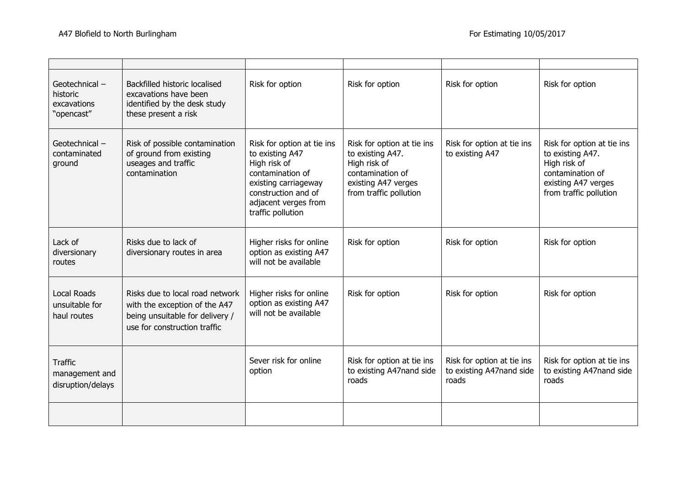| Geotechnical-<br>historic<br>excavations<br>"opencast" | Backfilled historic localised<br>excavations have been<br>identified by the desk study<br>these present a risk                      | Risk for option                                                                                                                                                               | Risk for option                                                                                                                     | Risk for option                                                 | Risk for option                                                                                                                     |
|--------------------------------------------------------|-------------------------------------------------------------------------------------------------------------------------------------|-------------------------------------------------------------------------------------------------------------------------------------------------------------------------------|-------------------------------------------------------------------------------------------------------------------------------------|-----------------------------------------------------------------|-------------------------------------------------------------------------------------------------------------------------------------|
| Geotechnical -<br>contaminated<br>ground               | Risk of possible contamination<br>of ground from existing<br>useages and traffic<br>contamination                                   | Risk for option at tie ins<br>to existing A47<br>High risk of<br>contamination of<br>existing carriageway<br>construction and of<br>adjacent verges from<br>traffic pollution | Risk for option at tie ins<br>to existing A47.<br>High risk of<br>contamination of<br>existing A47 verges<br>from traffic pollution | Risk for option at tie ins<br>to existing A47                   | Risk for option at tie ins<br>to existing A47.<br>High risk of<br>contamination of<br>existing A47 verges<br>from traffic pollution |
| Lack of<br>diversionary<br>routes                      | Risks due to lack of<br>diversionary routes in area                                                                                 | Higher risks for online<br>option as existing A47<br>will not be available                                                                                                    | Risk for option                                                                                                                     | Risk for option                                                 | Risk for option                                                                                                                     |
| <b>Local Roads</b><br>unsuitable for<br>haul routes    | Risks due to local road network<br>with the exception of the A47<br>being unsuitable for delivery /<br>use for construction traffic | Higher risks for online<br>option as existing A47<br>will not be available                                                                                                    | Risk for option                                                                                                                     | Risk for option                                                 | Risk for option                                                                                                                     |
| <b>Traffic</b><br>management and<br>disruption/delays  |                                                                                                                                     | Sever risk for online<br>option                                                                                                                                               | Risk for option at tie ins<br>to existing A47nand side<br>roads                                                                     | Risk for option at tie ins<br>to existing A47nand side<br>roads | Risk for option at tie ins<br>to existing A47nand side<br>roads                                                                     |
|                                                        |                                                                                                                                     |                                                                                                                                                                               |                                                                                                                                     |                                                                 |                                                                                                                                     |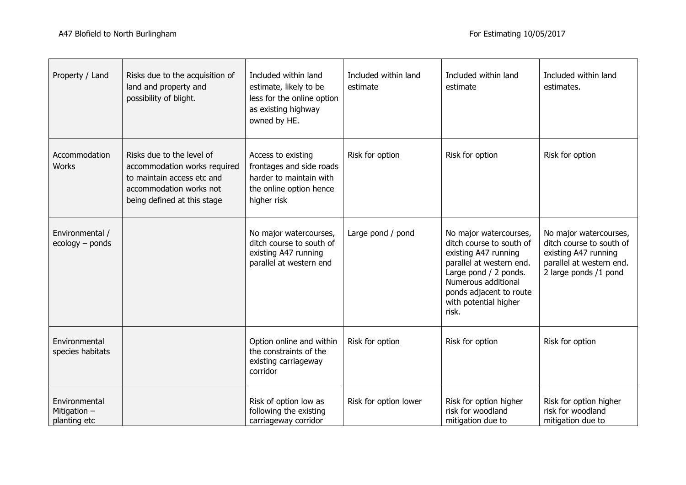| Property / Land                                 | Risks due to the acquisition of<br>land and property and<br>possibility of blight.                                                                | Included within land<br>estimate, likely to be<br>less for the online option<br>as existing highway<br>owned by HE. | Included within land<br>estimate | Included within land<br>estimate                                                                                                                                                                                    | Included within land<br>estimates.                                                                                              |
|-------------------------------------------------|---------------------------------------------------------------------------------------------------------------------------------------------------|---------------------------------------------------------------------------------------------------------------------|----------------------------------|---------------------------------------------------------------------------------------------------------------------------------------------------------------------------------------------------------------------|---------------------------------------------------------------------------------------------------------------------------------|
| Accommodation<br><b>Works</b>                   | Risks due to the level of<br>accommodation works required<br>to maintain access etc and<br>accommodation works not<br>being defined at this stage | Access to existing<br>frontages and side roads<br>harder to maintain with<br>the online option hence<br>higher risk | Risk for option                  | Risk for option                                                                                                                                                                                                     | Risk for option                                                                                                                 |
| Environmental /<br>ecology - ponds              |                                                                                                                                                   | No major watercourses,<br>ditch course to south of<br>existing A47 running<br>parallel at western end               | Large pond / pond                | No major watercourses,<br>ditch course to south of<br>existing A47 running<br>parallel at western end.<br>Large pond / 2 ponds.<br>Numerous additional<br>ponds adjacent to route<br>with potential higher<br>risk. | No major watercourses,<br>ditch course to south of<br>existing A47 running<br>parallel at western end.<br>2 large ponds /1 pond |
| Environmental<br>species habitats               |                                                                                                                                                   | Option online and within<br>the constraints of the<br>existing carriageway<br>corridor                              | Risk for option                  | Risk for option                                                                                                                                                                                                     | Risk for option                                                                                                                 |
| Environmental<br>Mitigation $-$<br>planting etc |                                                                                                                                                   | Risk of option low as<br>following the existing<br>carriageway corridor                                             | Risk for option lower            | Risk for option higher<br>risk for woodland<br>mitigation due to                                                                                                                                                    | Risk for option higher<br>risk for woodland<br>mitigation due to                                                                |

<u> 1989 - Johann Stoff, deutscher Stoff, der Stoff, der Stoff, der Stoff, der Stoff, der Stoff, der Stoff, der S</u>